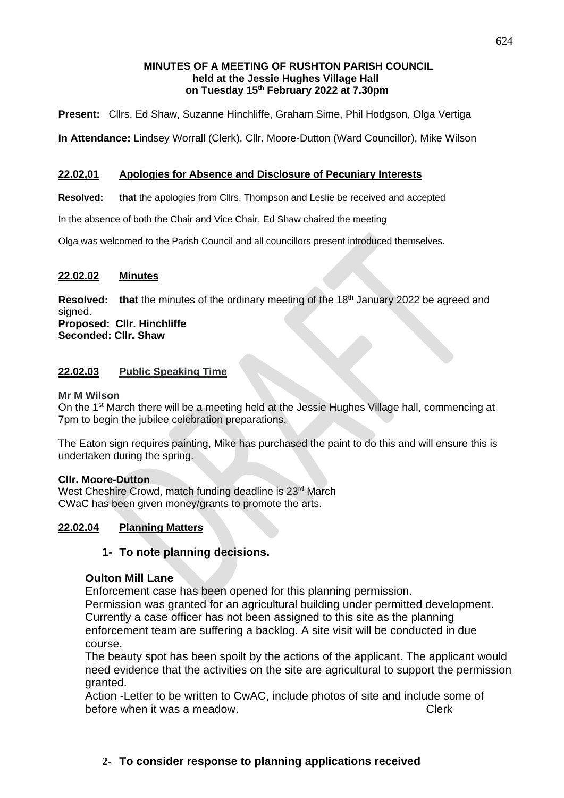## **MINUTES OF A MEETING OF RUSHTON PARISH COUNCIL held at the Jessie Hughes Village Hall on Tuesday 15 th February 2022 at 7.30pm**

**Present:** Cllrs. Ed Shaw, Suzanne Hinchliffe, Graham Sime, Phil Hodgson, Olga Vertiga

**In Attendance:** Lindsey Worrall (Clerk), Cllr. Moore-Dutton (Ward Councillor), Mike Wilson

## **22.02,01 Apologies for Absence and Disclosure of Pecuniary Interests**

**Resolved: that** the apologies from Cllrs. Thompson and Leslie be received and accepted

In the absence of both the Chair and Vice Chair, Ed Shaw chaired the meeting

Olga was welcomed to the Parish Council and all councillors present introduced themselves.

## **22.02.02 Minutes**

Resolved: that the minutes of the ordinary meeting of the 18<sup>th</sup> January 2022 be agreed and signed.

**Proposed: Cllr. Hinchliffe Seconded: Cllr. Shaw**

# **22.02.03 Public Speaking Time**

**Mr M Wilson**

On the 1<sup>st</sup> March there will be a meeting held at the Jessie Hughes Village hall, commencing at 7pm to begin the jubilee celebration preparations.

The Eaton sign requires painting, Mike has purchased the paint to do this and will ensure this is undertaken during the spring.

### **Cllr. Moore-Dutton**

West Cheshire Crowd, match funding deadline is 23<sup>rd</sup> March CWaC has been given money/grants to promote the arts.

### **22.02.04 Planning Matters**

# **1- To note planning decisions.**

### **Oulton Mill Lane**

Enforcement case has been opened for this planning permission.

Permission was granted for an agricultural building under permitted development. Currently a case officer has not been assigned to this site as the planning enforcement team are suffering a backlog. A site visit will be conducted in due course.

The beauty spot has been spoilt by the actions of the applicant. The applicant would need evidence that the activities on the site are agricultural to support the permission granted.

Action -Letter to be written to CwAC, include photos of site and include some of before when it was a meadow. The contract of the clerk clerk

# **2- To consider response to planning applications received**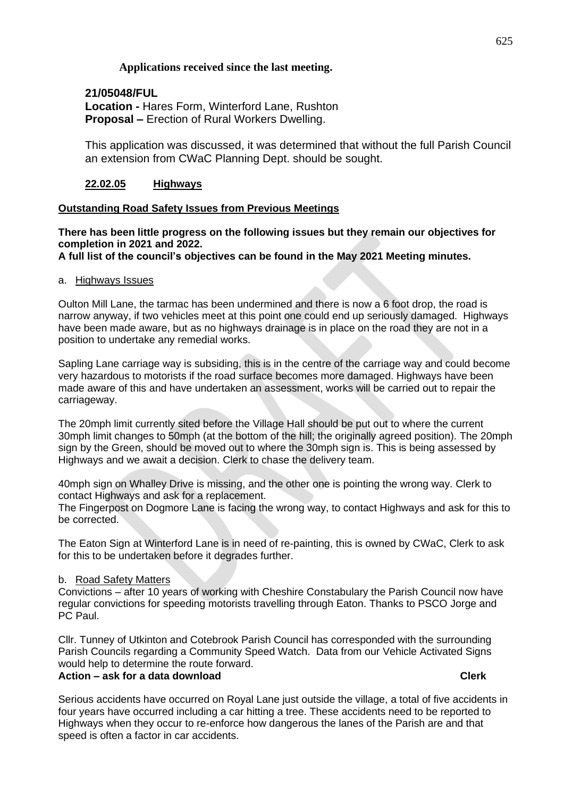# **Applications received since the last meeting.**

# **21/05048/FUL**

**Location -** Hares Form, Winterford Lane, Rushton **Proposal –** Erection of Rural Workers Dwelling.

This application was discussed, it was determined that without the full Parish Council an extension from CWaC Planning Dept. should be sought.

# **22.02.05 Highways**

# **Outstanding Road Safety Issues from Previous Meetings**

**There has been little progress on the following issues but they remain our objectives for completion in 2021 and 2022.**

**A full list of the council's objectives can be found in the May 2021 Meeting minutes.**

# a. Highways Issues

Oulton Mill Lane, the tarmac has been undermined and there is now a 6 foot drop, the road is narrow anyway, if two vehicles meet at this point one could end up seriously damaged. Highways have been made aware, but as no highways drainage is in place on the road they are not in a position to undertake any remedial works.

Sapling Lane carriage way is subsiding, this is in the centre of the carriage way and could become very hazardous to motorists if the road surface becomes more damaged. Highways have been made aware of this and have undertaken an assessment, works will be carried out to repair the carriageway.

The 20mph limit currently sited before the Village Hall should be put out to where the current 30mph limit changes to 50mph (at the bottom of the hill; the originally agreed position). The 20mph sign by the Green, should be moved out to where the 30mph sign is. This is being assessed by Highways and we await a decision. Clerk to chase the delivery team.

40mph sign on Whalley Drive is missing, and the other one is pointing the wrong way. Clerk to contact Highways and ask for a replacement.

The Fingerpost on Dogmore Lane is facing the wrong way, to contact Highways and ask for this to be corrected.

The Eaton Sign at Winterford Lane is in need of re-painting, this is owned by CWaC, Clerk to ask for this to be undertaken before it degrades further.

# b. Road Safety Matters

Convictions – after 10 years of working with Cheshire Constabulary the Parish Council now have regular convictions for speeding motorists travelling through Eaton. Thanks to PSCO Jorge and PC Paul.

Cllr. Tunney of Utkinton and Cotebrook Parish Council has corresponded with the surrounding Parish Councils regarding a Community Speed Watch. Data from our Vehicle Activated Signs would help to determine the route forward. **Action – ask for a data download Clerk**

Serious accidents have occurred on Royal Lane just outside the village, a total of five accidents in four years have occurred including a car hitting a tree. These accidents need to be reported to Highways when they occur to re-enforce how dangerous the lanes of the Parish are and that speed is often a factor in car accidents.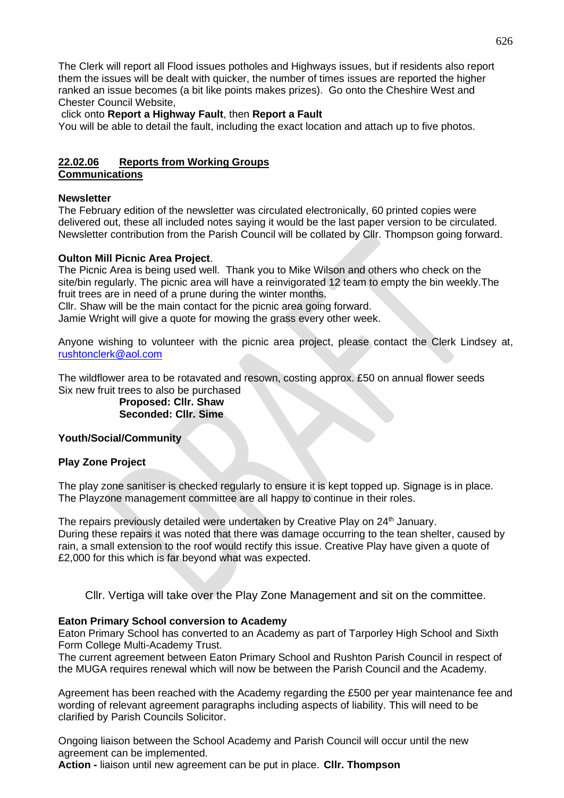The Clerk will report all Flood issues potholes and Highways issues, but if residents also report them the issues will be dealt with quicker, the number of times issues are reported the higher ranked an issue becomes (a bit like points makes prizes). Go onto the Cheshire West and Chester Council Website,

### click onto **Report a Highway Fault**, then **Report a Fault**

You will be able to detail the fault, including the exact location and attach up to five photos.

# **22.02.06 Reports from Working Groups**

**Communications**

### **Newsletter**

The February edition of the newsletter was circulated electronically, 60 printed copies were delivered out, these all included notes saying it would be the last paper version to be circulated. Newsletter contribution from the Parish Council will be collated by Cllr. Thompson going forward.

## **Oulton Mill Picnic Area Project**.

The Picnic Area is being used well. Thank you to Mike Wilson and others who check on the site/bin regularly. The picnic area will have a reinvigorated 12 team to empty the bin weekly.The fruit trees are in need of a prune during the winter months.

Cllr. Shaw will be the main contact for the picnic area going forward. Jamie Wright will give a quote for mowing the grass every other week.

Anyone wishing to volunteer with the picnic area project, please contact the Clerk Lindsey at, [rushtonclerk@aol.com](mailto:rushtonclerk@aol.com)

The wildflower area to be rotavated and resown, costing approx. £50 on annual flower seeds Six new fruit trees to also be purchased

> **Proposed: Cllr. Shaw Seconded: Cllr. Sime**

### **Youth/Social/Community**

### **Play Zone Project**

The play zone sanitiser is checked regularly to ensure it is kept topped up. Signage is in place. The Playzone management committee are all happy to continue in their roles.

The repairs previously detailed were undertaken by Creative Play on 24<sup>th</sup> January. During these repairs it was noted that there was damage occurring to the tean shelter, caused by rain, a small extension to the roof would rectify this issue. Creative Play have given a quote of £2,000 for this which is far beyond what was expected.

Cllr. Vertiga will take over the Play Zone Management and sit on the committee.

### **Eaton Primary School conversion to Academy**

Eaton Primary School has converted to an Academy as part of Tarporley High School and Sixth Form College Multi-Academy Trust.

The current agreement between Eaton Primary School and Rushton Parish Council in respect of the MUGA requires renewal which will now be between the Parish Council and the Academy.

Agreement has been reached with the Academy regarding the £500 per year maintenance fee and wording of relevant agreement paragraphs including aspects of liability. This will need to be clarified by Parish Councils Solicitor.

Ongoing liaison between the School Academy and Parish Council will occur until the new agreement can be implemented.

**Action -** liaison until new agreement can be put in place. **Cllr. Thompson**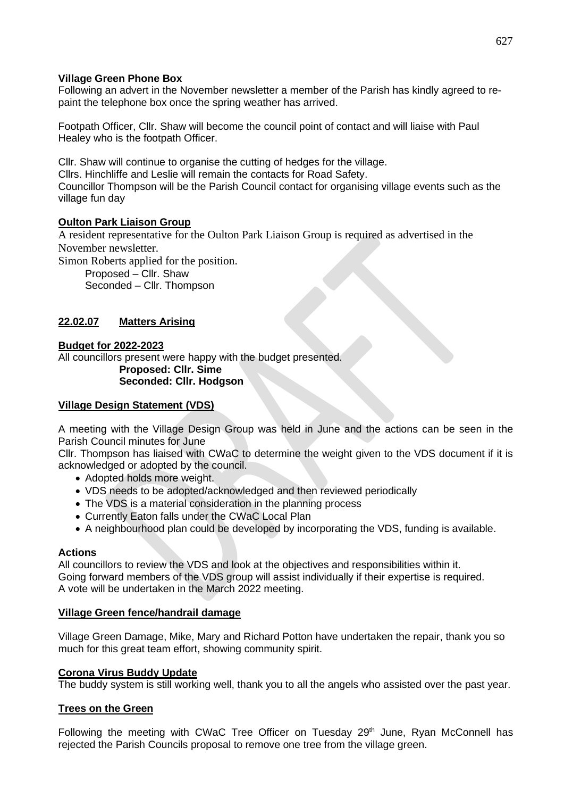## **Village Green Phone Box**

Following an advert in the November newsletter a member of the Parish has kindly agreed to repaint the telephone box once the spring weather has arrived.

Footpath Officer, Cllr. Shaw will become the council point of contact and will liaise with Paul Healey who is the footpath Officer.

Cllr. Shaw will continue to organise the cutting of hedges for the village. Cllrs. Hinchliffe and Leslie will remain the contacts for Road Safety. Councillor Thompson will be the Parish Council contact for organising village events such as the village fun day

## **Oulton Park Liaison Group**

A resident representative for the Oulton Park Liaison Group is required as advertised in the November newsletter.

Simon Roberts applied for the position.

Proposed – Cllr. Shaw Seconded – Cllr. Thompson

# **22.02.07 Matters Arising**

### **Budget for 2022-2023**

All councillors present were happy with the budget presented. **Proposed: Cllr. Sime**

### **Seconded: Cllr. Hodgson**

### **Village Design Statement (VDS)**

A meeting with the Village Design Group was held in June and the actions can be seen in the Parish Council minutes for June

Cllr. Thompson has liaised with CWaC to determine the weight given to the VDS document if it is acknowledged or adopted by the council.

- Adopted holds more weight.
- VDS needs to be adopted/acknowledged and then reviewed periodically
- The VDS is a material consideration in the planning process
- Currently Eaton falls under the CWaC Local Plan
- A neighbourhood plan could be developed by incorporating the VDS, funding is available.

### **Actions**

All councillors to review the VDS and look at the objectives and responsibilities within it. Going forward members of the VDS group will assist individually if their expertise is required. A vote will be undertaken in the March 2022 meeting.

### **Village Green fence/handrail damage**

Village Green Damage, Mike, Mary and Richard Potton have undertaken the repair, thank you so much for this great team effort, showing community spirit.

### **Corona Virus Buddy Update**

The buddy system is still working well, thank you to all the angels who assisted over the past year.

### **Trees on the Green**

Following the meeting with CWaC Tree Officer on Tuesday 29<sup>th</sup> June, Ryan McConnell has rejected the Parish Councils proposal to remove one tree from the village green.